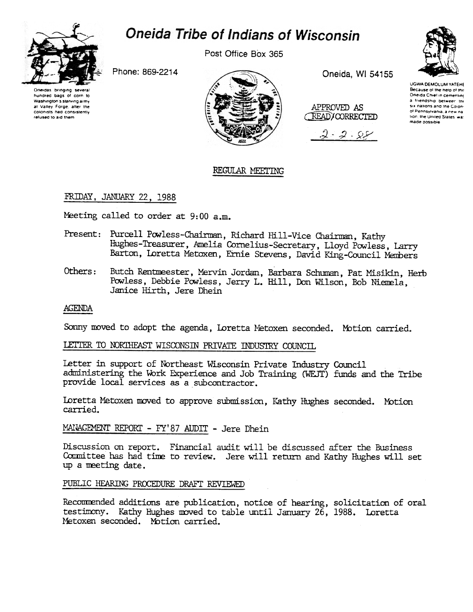

# **Oneida Tribe of Indians of Wisconsin**

Post Office Box 365

Phone: 869-2214



Oneida, WI 54155





**UGWA DEMOLUM YATEHE** Because of the help of the Oneida Chief in cementing a friendship between the six nations and the Colonof Pennsylvania, a new na tion, the United States wa: made possible

## REGULAR MEETING

## FRIDAY, JANUARY 22, 1988

Meeting called to order at 9:00 a.m.

- Present: Purcell Powless-Chairman, Richard Hill-Vice Chairman, Kathy Hughes-Treasurer, Amelia Cornelius-Secretary, Lloyd Powless, Larry Barton, Loretta Metoxen, Ernie Stevens, David King-Council Members
- Others: Butch Rentmeester, Mervin Jordan, Barbara Schuman, Pat Misikin, Herb Powless, Debbie Powless, Jerry L. Hill, Don Wilson, Bob Niemela, Janice Hirth, Jere Dhein

## **AGENDA**

Sonny moved to adopt the agenda, Loretta Metoxen seconded. Motion carried.

# LETTER TO NORTHEAST WISCONSIN PRIVATE INDUSTRY COUNCIL

Letter in support of Northeast Wisconsin Private Industry Council administering the Work Experience and Job Training (WEJT) funds and the Tribe provide local services as a subcontractor.

Loretta Metoxen moved to approve submission, Kathy Hughes seconded. Motion carried.

## MANAGEMENT REPORT - FY'87 AUDIT - Jere Dhein

Discussion on report. Financial audit will be discussed after the Business Committee has had time to review. Jere will return and Kathy Hughes will set up a meeting date.

## PUBLIC HEARING PROCEDURE DRAFT REVIEWED

Recommended additions are publication, notice of hearing, solicitation of oral testimony. Kathy Hughes moved to table until January 26, 1988. Loretta Metoxen seconded. Motion carried.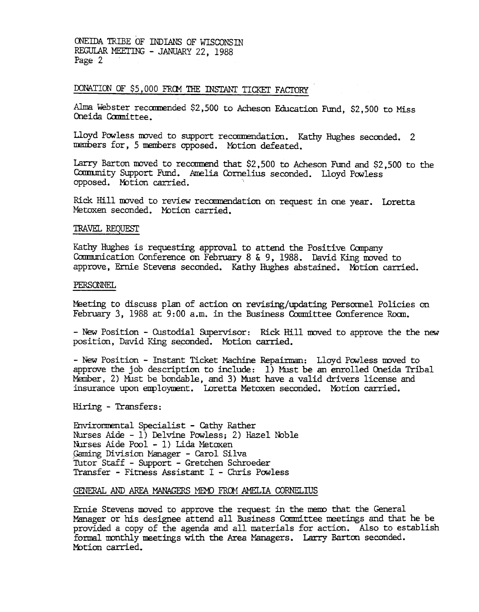ONEIDA TRIBE OF INDIANS OF WISCONSIN REGULAR MEETING - JANUARY 22, 1988 Page 2

# DONATION OF \$5,000 FROM THE INSTANT TICKET FACTORY

Alma Webster recommended \$2,500 to Acheson Education Fund, \$2,500 to Miss Oneida Committee.

Lloyd Powless moved to support recommendation. Kathy Hughes seconded. 2 members for, 5 members opposed. Motion defeated.

Larry Barton moved to recommend that \$2,500 to Acheson Fund and \$2,500 to the Community Support Fund. Amelia Cornelius seconded. Lloyd Powless opposed. Motion carried.

Rick Hill moved to review recommendation on request in one year. Loretta Metoxen seconded. Motion carried.

#### TRAVEL REQUEST

Kathy Hughes is requesting approval to attend the Positive Company Communication Conference on February 8 & 9, 1988. David King moved to approve, Ernie Stevens seconded. Kathy Hughes abstained. Motion carried.

#### PERSONNEL

Meeting to discuss plan of action on revising/updating Personnel Policies on February 3, 1988 at 9:00 a.m. in the Business Committee Conference Room.

- New Position - Custodial Supervisor: Rick Hill moved to approve the the new position, David King seconded. Motion carried.

- New Position - Instant Ticket Machine Repairman: Lloyd Powless moved to approve the job description to include:  $1)$  Must be an enrolled Oneida Tribal Member, 2) Must be bondable, and 3) Must have a valid drivers license and insurance upon employment. Loretta Metoxen seconded. Motion carried.

Hiring - Transfers:

Environmental Specialist - Cathy Rather Nurses Aide - 1) Delvine Powless; 2) Hazel Noble Nurses Aide Pool - 1) Lida Metoxen Gaming Division Manager - Carol Silva Tutor Staff - Support - Gretchen Schroeder Transfer - Fitness Assistant I - Chris Powless

### GENERAL AND AREA MANAGERS MEMO FROM AMELIA CORNELIUS

Ernie Stevens moved to approve the request in the memo that the General Manager or his designee attend all Business Committee meetings and that he be provided a copy of the agenda and all materials for action. Also to establish formal monthly meetings with the Area Managers. Larry Barton seconded. Motion carried.